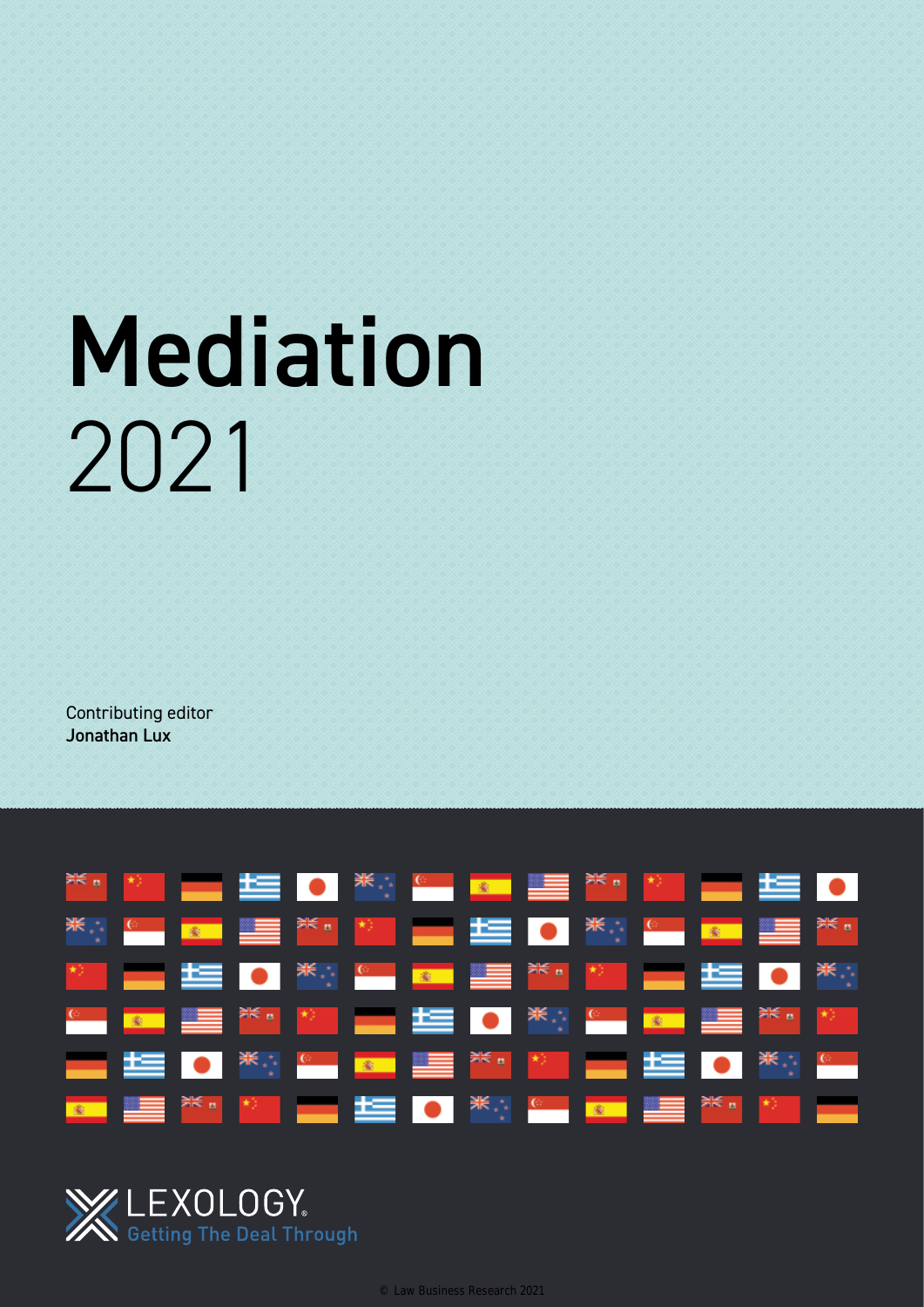# Mediation 2021

Contributing editor Jonathan Lux





© Law Business Research 2021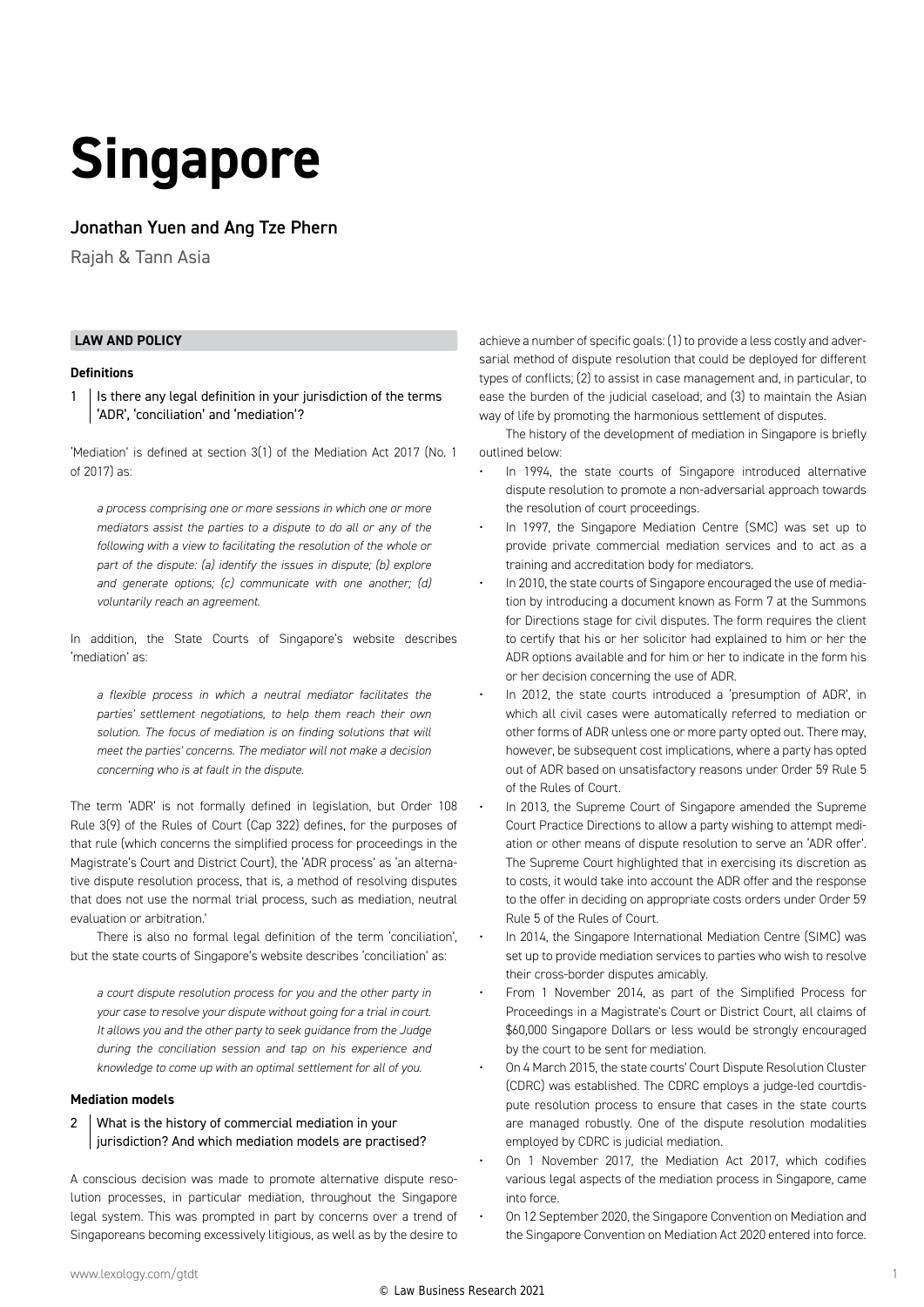## **Singapore**

#### Jonathan Yuen and Ang Tze Phern

Rajah & Tann Asia

#### **LAW AND POLICY**

#### **Definitions**

 $1$  | Is there any legal definition in your jurisdiction of the terms 'ADR', 'conciliation' and 'mediation'?

'Mediation' is defined at section 3(1) of the Mediation Act 2017 (No. 1 of 2017) as:

*a process comprising one or more sessions in which one or more mediators assist the parties to a dispute to do all or any of the following with a view to facilitating the resolution of the whole or part of the dispute: (a) identify the issues in dispute; (b) explore and generate options; (c) communicate with one another; (d) voluntarily reach an agreement.*

In addition, the State Courts of Singapore's website describes 'mediation' as:

*a flexible process in which a neutral mediator facilitates the parties' settlement negotiations, to help them reach their own solution. The focus of mediation is on finding solutions that will meet the parties' concerns. The mediator will not make a decision concerning who is at fault in the dispute.*

The term 'ADR' is not formally defined in legislation, but Order 108 Rule 3(9) of the Rules of Court (Cap 322) defines, for the purposes of that rule (which concerns the simplified process for proceedings in the Magistrate's Court and District Court), the 'ADR process' as 'an alternative dispute resolution process, that is, a method of resolving disputes that does not use the normal trial process, such as mediation, neutral evaluation or arbitration.'

There is also no formal legal definition of the term 'conciliation', but the state courts of Singapore's website describes 'conciliation' as:

*a court dispute resolution process for you and the other party in your case to resolve your dispute without going for a trial in court. It allows you and the other party to seek guidance from the Judge during the conciliation session and tap on his experience and knowledge to come up with an optimal settlement for all of you.*

#### **Mediation models**

#### 2 | What is the history of commercial mediation in your jurisdiction? And which mediation models are practised?

A conscious decision was made to promote alternative dispute resolution processes, in particular mediation, throughout the Singapore legal system. This was prompted in part by concerns over a trend of Singaporeans becoming excessively litigious, as well as by the desire to

achieve a number of specific goals: (1) to provide a less costly and adversarial method of dispute resolution that could be deployed for different types of conflicts; (2) to assist in case management and, in particular, to ease the burden of the judicial caseload; and (3) to maintain the Asian way of life by promoting the harmonious settlement of disputes.

The history of the development of mediation in Singapore is briefly outlined below:

- In 1994, the state courts of Singapore introduced alternative dispute resolution to promote a non-adversarial approach towards the resolution of court proceedings.
- In 1997, the Singapore Mediation Centre (SMC) was set up to provide private commercial mediation services and to act as a training and accreditation body for mediators.
- In 2010, the state courts of Singapore encouraged the use of mediation by introducing a document known as Form 7 at the Summons for Directions stage for civil disputes. The form requires the client to certify that his or her solicitor had explained to him or her the ADR options available and for him or her to indicate in the form his or her decision concerning the use of ADR.
- In 2012, the state courts introduced a 'presumption of ADR', in which all civil cases were automatically referred to mediation or other forms of ADR unless one or more party opted out. There may, however, be subsequent cost implications, where a party has opted out of ADR based on unsatisfactory reasons under Order 59 Rule 5 of the Rules of Court.
- In 2013, the Supreme Court of Singapore amended the Supreme Court Practice Directions to allow a party wishing to attempt mediation or other means of dispute resolution to serve an 'ADR offer'. The Supreme Court highlighted that in exercising its discretion as to costs, it would take into account the ADR offer and the response to the offer in deciding on appropriate costs orders under Order 59 Rule 5 of the Rules of Court.
- In 2014, the Singapore International Mediation Centre (SIMC) was set up to provide mediation services to parties who wish to resolve their cross-border disputes amicably.
- From 1 November 2014, as part of the Simplified Process for Proceedings in a Magistrate's Court or District Court, all claims of \$60,000 Singapore Dollars or less would be strongly encouraged by the court to be sent for mediation.
- On 4 March 2015, the state courts' Court Dispute Resolution Cluster (CDRC) was established. The CDRC employs a judge-led courtdispute resolution process to ensure that cases in the state courts are managed robustly. One of the dispute resolution modalities employed by CDRC is judicial mediation.
- On 1 November 2017, the Mediation Act 2017, which codifies various legal aspects of the mediation process in Singapore, came into force.
- On 12 September 2020, the Singapore Convention on Mediation and the Singapore Convention on Mediation Act 2020 entered into force.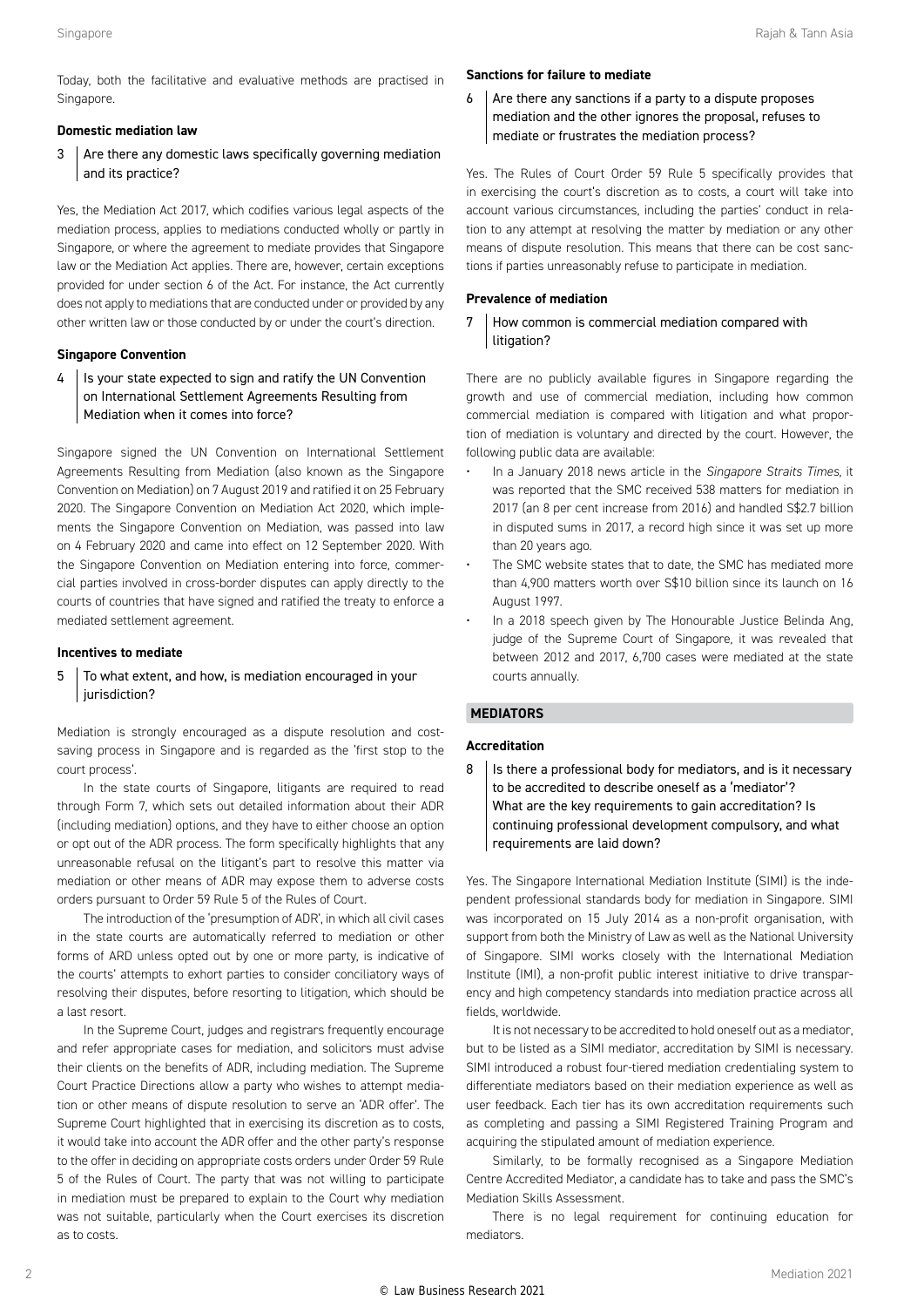Today, both the facilitative and evaluative methods are practised in Singapore.

#### **Domestic mediation law**

3 Are there any domestic laws specifically governing mediation and its practice?

Yes, the Mediation Act 2017, which codifies various legal aspects of the mediation process, applies to mediations conducted wholly or partly in Singapore, or where the agreement to mediate provides that Singapore law or the Mediation Act applies. There are, however, certain exceptions provided for under section 6 of the Act. For instance, the Act currently does not apply to mediations that are conducted under or provided by any other written law or those conducted by or under the court's direction.

#### **Singapore Convention**

4 | Is your state expected to sign and ratify the UN Convention on International Settlement Agreements Resulting from Mediation when it comes into force?

Singapore signed the UN Convention on International Settlement Agreements Resulting from Mediation (also known as the Singapore Convention on Mediation) on 7 August 2019 and ratified it on 25 February 2020. The Singapore Convention on Mediation Act 2020, which implements the Singapore Convention on Mediation, was passed into law on 4 February 2020 and came into effect on 12 September 2020. With the Singapore Convention on Mediation entering into force, commercial parties involved in cross-border disputes can apply directly to the courts of countries that have signed and ratified the treaty to enforce a mediated settlement agreement.

#### **Incentives to mediate**

#### $5$  To what extent, and how, is mediation encouraged in your jurisdiction?

Mediation is strongly encouraged as a dispute resolution and costsaving process in Singapore and is regarded as the 'first stop to the court process'.

In the state courts of Singapore, litigants are required to read through Form 7, which sets out detailed information about their ADR (including mediation) options, and they have to either choose an option or opt out of the ADR process. The form specifically highlights that any unreasonable refusal on the litigant's part to resolve this matter via mediation or other means of ADR may expose them to adverse costs orders pursuant to Order 59 Rule 5 of the Rules of Court.

The introduction of the 'presumption of ADR', in which all civil cases in the state courts are automatically referred to mediation or other forms of ARD unless opted out by one or more party, is indicative of the courts' attempts to exhort parties to consider conciliatory ways of resolving their disputes, before resorting to litigation, which should be a last resort.

In the Supreme Court, judges and registrars frequently encourage and refer appropriate cases for mediation, and solicitors must advise their clients on the benefits of ADR, including mediation. The Supreme Court Practice Directions allow a party who wishes to attempt mediation or other means of dispute resolution to serve an 'ADR offer'. The Supreme Court highlighted that in exercising its discretion as to costs, it would take into account the ADR offer and the other party's response to the offer in deciding on appropriate costs orders under Order 59 Rule 5 of the Rules of Court. The party that was not willing to participate in mediation must be prepared to explain to the Court why mediation was not suitable, particularly when the Court exercises its discretion as to costs.

#### **Sanctions for failure to mediate**

 $6$  Are there any sanctions if a party to a dispute proposes mediation and the other ignores the proposal, refuses to mediate or frustrates the mediation process?

Yes. The Rules of Court Order 59 Rule 5 specifically provides that in exercising the court's discretion as to costs, a court will take into account various circumstances, including the parties' conduct in relation to any attempt at resolving the matter by mediation or any other means of dispute resolution. This means that there can be cost sanctions if parties unreasonably refuse to participate in mediation.

#### **Prevalence of mediation**

#### 7 How common is commercial mediation compared with litigation?

There are no publicly available figures in Singapore regarding the growth and use of commercial mediation, including how common commercial mediation is compared with litigation and what proportion of mediation is voluntary and directed by the court. However, the following public data are available:

- In a January 2018 news article in the *Singapore Straits Times*, it was reported that the SMC received 538 matters for mediation in 2017 (an 8 per cent increase from 2016) and handled S\$2.7 billion in disputed sums in 2017, a record high since it was set up more than 20 years ago.
- The SMC website states that to date, the SMC has mediated more than 4,900 matters worth over S\$10 billion since its launch on 16 August 1997.
- In a 2018 speech given by The Honourable Justice Belinda Ang, judge of the Supreme Court of Singapore, it was revealed that between 2012 and 2017, 6,700 cases were mediated at the state courts annually.

#### **MEDIATORS**

#### **Accreditation**

8 | Is there a professional body for mediators, and is it necessary to be accredited to describe oneself as a 'mediator'? What are the key requirements to gain accreditation? Is continuing professional development compulsory, and what requirements are laid down?

Yes. The Singapore International Mediation Institute (SIMI) is the independent professional standards body for mediation in Singapore. SIMI was incorporated on 15 July 2014 as a non-profit organisation, with support from both the Ministry of Law as well as the National University of Singapore. SIMI works closely with the International Mediation Institute (IMI), a non-profit public interest initiative to drive transparency and high competency standards into mediation practice across all fields, worldwide.

It is not necessary to be accredited to hold oneself out as a mediator, but to be listed as a SIMI mediator, accreditation by SIMI is necessary. SIMI introduced a robust four-tiered mediation credentialing system to differentiate mediators based on their mediation experience as well as user feedback. Each tier has its own accreditation requirements such as completing and passing a SIMI Registered Training Program and acquiring the stipulated amount of mediation experience.

Similarly, to be formally recognised as a Singapore Mediation Centre Accredited Mediator, a candidate has to take and pass the SMC's Mediation Skills Assessment.

There is no legal requirement for continuing education for mediators.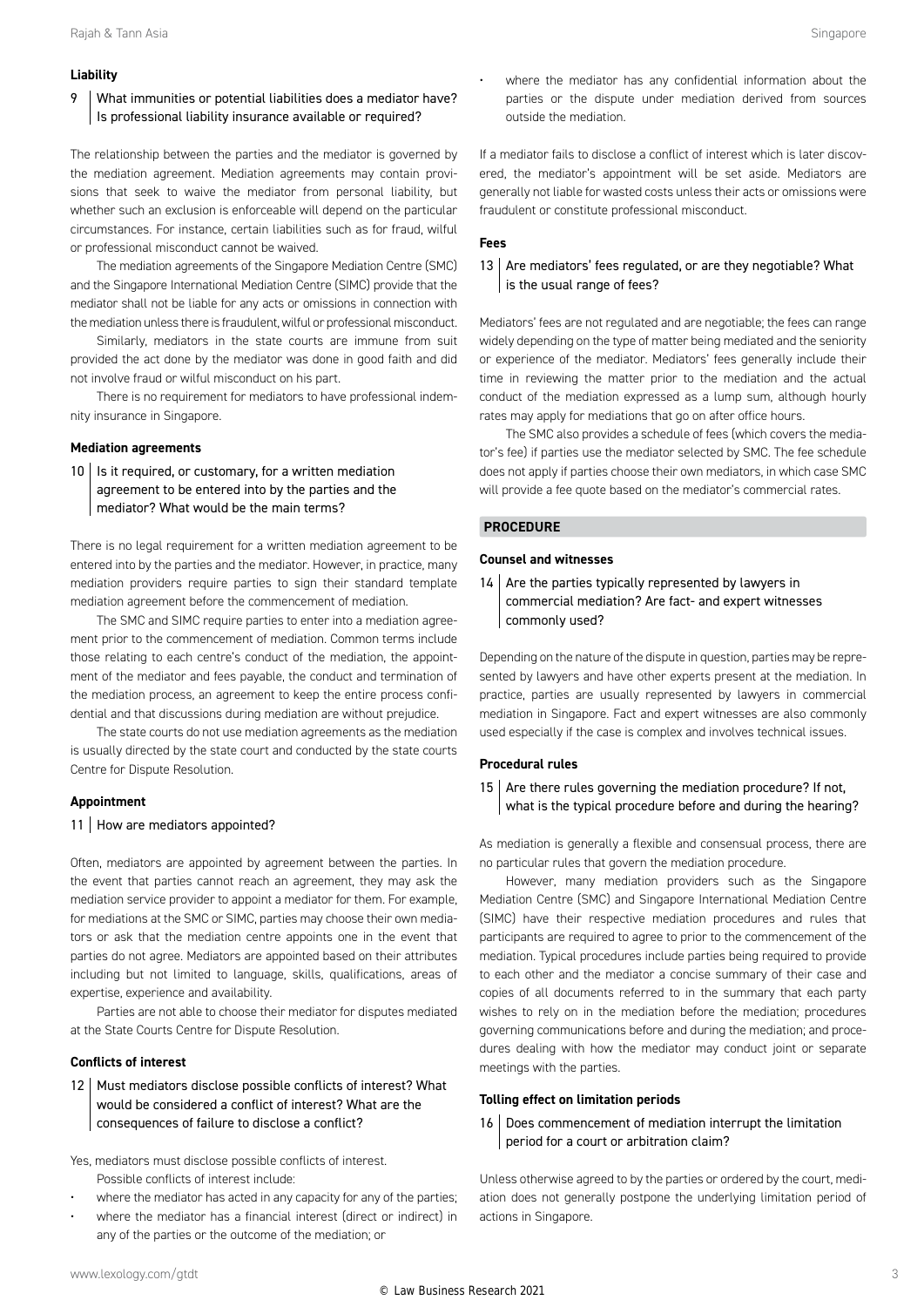#### **Liability**

#### 9 | What immunities or potential liabilities does a mediator have? Is professional liability insurance available or required?

The relationship between the parties and the mediator is governed by the mediation agreement. Mediation agreements may contain provisions that seek to waive the mediator from personal liability, but whether such an exclusion is enforceable will depend on the particular circumstances. For instance, certain liabilities such as for fraud, wilful or professional misconduct cannot be waived.

The mediation agreements of the Singapore Mediation Centre (SMC) and the Singapore International Mediation Centre (SIMC) provide that the mediator shall not be liable for any acts or omissions in connection with the mediation unless there is fraudulent, wilful or professional misconduct.

Similarly, mediators in the state courts are immune from suit provided the act done by the mediator was done in good faith and did not involve fraud or wilful misconduct on his part.

There is no requirement for mediators to have professional indemnity insurance in Singapore.

#### **Mediation agreements**

 $10$  | Is it required, or customary, for a written mediation agreement to be entered into by the parties and the mediator? What would be the main terms?

There is no legal requirement for a written mediation agreement to be entered into by the parties and the mediator. However, in practice, many mediation providers require parties to sign their standard template mediation agreement before the commencement of mediation.

The SMC and SIMC require parties to enter into a mediation agreement prior to the commencement of mediation. Common terms include those relating to each centre's conduct of the mediation, the appointment of the mediator and fees payable, the conduct and termination of the mediation process, an agreement to keep the entire process confidential and that discussions during mediation are without prejudice.

The state courts do not use mediation agreements as the mediation is usually directed by the state court and conducted by the state courts Centre for Dispute Resolution.

#### **Appointment**

#### 11 | How are mediators appointed?

Often, mediators are appointed by agreement between the parties. In the event that parties cannot reach an agreement, they may ask the mediation service provider to appoint a mediator for them. For example, for mediations at the SMC or SIMC, parties may choose their own mediators or ask that the mediation centre appoints one in the event that parties do not agree. Mediators are appointed based on their attributes including but not limited to language, skills, qualifications, areas of expertise, experience and availability.

Parties are not able to choose their mediator for disputes mediated at the State Courts Centre for Dispute Resolution.

#### **Conflicts of interest**

12 Must mediators disclose possible conflicts of interest? What would be considered a conflict of interest? What are the consequences of failure to disclose a conflict?

Yes, mediators must disclose possible conflicts of interest. Possible conflicts of interest include:

- where the mediator has acted in any capacity for any of the parties;
- where the mediator has a financial interest (direct or indirect) in any of the parties or the outcome of the mediation; or

where the mediator has any confidential information about the parties or the dispute under mediation derived from sources outside the mediation.

If a mediator fails to disclose a conflict of interest which is later discovered, the mediator's appointment will be set aside. Mediators are generally not liable for wasted costs unless their acts or omissions were fraudulent or constitute professional misconduct.

#### **Fees**

#### 13  $\vert$  Are mediators' fees regulated, or are they negotiable? What is the usual range of fees?

Mediators' fees are not regulated and are negotiable; the fees can range widely depending on the type of matter being mediated and the seniority or experience of the mediator. Mediators' fees generally include their time in reviewing the matter prior to the mediation and the actual conduct of the mediation expressed as a lump sum, although hourly rates may apply for mediations that go on after office hours.

The SMC also provides a schedule of fees (which covers the mediator's fee) if parties use the mediator selected by SMC. The fee schedule does not apply if parties choose their own mediators, in which case SMC will provide a fee quote based on the mediator's commercial rates.

#### **PROCEDURE**

#### **Counsel and witnesses**

 $14$  Are the parties typically represented by lawyers in commercial mediation? Are fact- and expert witnesses commonly used?

Depending on the nature of the dispute in question, parties may be represented by lawyers and have other experts present at the mediation. In practice, parties are usually represented by lawyers in commercial mediation in Singapore. Fact and expert witnesses are also commonly used especially if the case is complex and involves technical issues.

#### **Procedural rules**

15  $\vert$  Are there rules governing the mediation procedure? If not, what is the typical procedure before and during the hearing?

As mediation is generally a flexible and consensual process, there are no particular rules that govern the mediation procedure.

However, many mediation providers such as the Singapore Mediation Centre (SMC) and Singapore International Mediation Centre (SIMC) have their respective mediation procedures and rules that participants are required to agree to prior to the commencement of the mediation. Typical procedures include parties being required to provide to each other and the mediator a concise summary of their case and copies of all documents referred to in the summary that each party wishes to rely on in the mediation before the mediation; procedures governing communications before and during the mediation; and procedures dealing with how the mediator may conduct joint or separate meetings with the parties.

#### **Tolling effect on limitation periods**

16 Does commencement of mediation interrupt the limitation period for a court or arbitration claim?

Unless otherwise agreed to by the parties or ordered by the court, mediation does not generally postpone the underlying limitation period of actions in Singapore.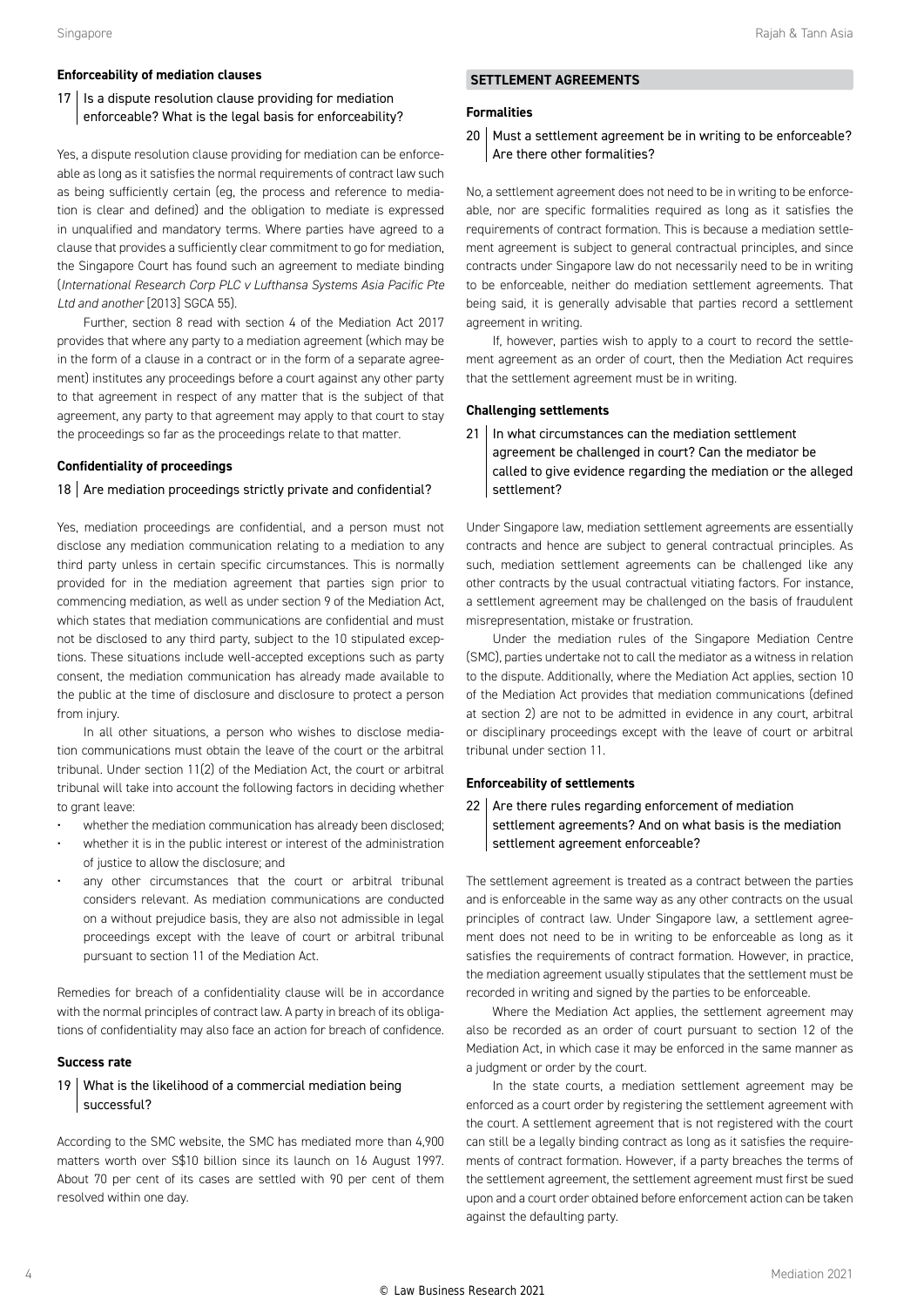#### **Enforceability of mediation clauses**

#### $17$  | Is a dispute resolution clause providing for mediation enforceable? What is the legal basis for enforceability?

Yes, a dispute resolution clause providing for mediation can be enforceable as long as it satisfies the normal requirements of contract law such as being sufficiently certain (eg, the process and reference to mediation is clear and defined) and the obligation to mediate is expressed in unqualified and mandatory terms. Where parties have agreed to a clause that provides a sufficiently clear commitment to go for mediation, the Singapore Court has found such an agreement to mediate binding (*International Research Corp PLC v Lufthansa Systems Asia Pacific Pte Ltd and another* [2013] SGCA 55).

Further, section 8 read with section  $4$  of the Mediation Act 2017 provides that where any party to a mediation agreement (which may be in the form of a clause in a contract or in the form of a separate agreement) institutes any proceedings before a court against any other party to that agreement in respect of any matter that is the subject of that agreement, any party to that agreement may apply to that court to stay the proceedings so far as the proceedings relate to that matter.

#### **Confidentiality of proceedings**

#### 18  $\vert$  Are mediation proceedings strictly private and confidential?

Yes, mediation proceedings are confidential, and a person must not disclose any mediation communication relating to a mediation to any third party unless in certain specific circumstances. This is normally provided for in the mediation agreement that parties sign prior to commencing mediation, as well as under section 9 of the Mediation Act, which states that mediation communications are confidential and must not be disclosed to any third party, subject to the 10 stipulated exceptions. These situations include well-accepted exceptions such as party consent, the mediation communication has already made available to the public at the time of disclosure and disclosure to protect a person from injury.

In all other situations, a person who wishes to disclose mediation communications must obtain the leave of the court or the arbitral tribunal. Under section 11(2) of the Mediation Act, the court or arbitral tribunal will take into account the following factors in deciding whether to grant leave

- whether the mediation communication has already been disclosed;
- whether it is in the public interest or interest of the administration of justice to allow the disclosure; and
- any other circumstances that the court or arbitral tribunal considers relevant. As mediation communications are conducted on a without prejudice basis, they are also not admissible in legal proceedings except with the leave of court or arbitral tribunal pursuant to section 11 of the Mediation Act.

Remedies for breach of a confidentiality clause will be in accordance with the normal principles of contract law. A party in breach of its obligations of confidentiality may also face an action for breach of confidence.

#### **Success rate**

#### 19 What is the likelihood of a commercial mediation being successful?

According to the SMC website, the SMC has mediated more than 4,900 matters worth over S\$10 billion since its launch on 16 August 1997. About 70 per cent of its cases are settled with 90 per cent of them resolved within one day.

#### **SETTLEMENT AGREEMENTS**

#### **Formalities**

#### 20 | Must a settlement agreement be in writing to be enforceable? Are there other formalities?

No, a settlement agreement does not need to be in writing to be enforceable, nor are specific formalities required as long as it satisfies the requirements of contract formation. This is because a mediation settlement agreement is subject to general contractual principles, and since contracts under Singapore law do not necessarily need to be in writing to be enforceable, neither do mediation settlement agreements. That being said, it is generally advisable that parties record a settlement agreement in writing.

If, however, parties wish to apply to a court to record the settlement agreement as an order of court, then the Mediation Act requires that the settlement agreement must be in writing.

#### **Challenging settlements**

21 | In what circumstances can the mediation settlement agreement be challenged in court? Can the mediator be called to give evidence regarding the mediation or the alleged settlement?

Under Singapore law, mediation settlement agreements are essentially contracts and hence are subject to general contractual principles. As such, mediation settlement agreements can be challenged like any other contracts by the usual contractual vitiating factors. For instance, a settlement agreement may be challenged on the basis of fraudulent misrepresentation, mistake or frustration.

Under the mediation rules of the Singapore Mediation Centre (SMC), parties undertake not to call the mediator as a witness in relation to the dispute. Additionally, where the Mediation Act applies, section 10 of the Mediation Act provides that mediation communications (defined at section 2) are not to be admitted in evidence in any court, arbitral or disciplinary proceedings except with the leave of court or arbitral tribunal under section 11.

#### **Enforceability of settlements**

 $22$  Are there rules regarding enforcement of mediation settlement agreements? And on what basis is the mediation settlement agreement enforceable?

The settlement agreement is treated as a contract between the parties and is enforceable in the same way as any other contracts on the usual principles of contract law. Under Singapore law, a settlement agreement does not need to be in writing to be enforceable as long as it satisfies the requirements of contract formation. However, in practice, the mediation agreement usually stipulates that the settlement must be recorded in writing and signed by the parties to be enforceable.

Where the Mediation Act applies, the settlement agreement may also be recorded as an order of court pursuant to section 12 of the Mediation Act, in which case it may be enforced in the same manner as a judgment or order by the court.

In the state courts, a mediation settlement agreement may be enforced as a court order by registering the settlement agreement with the court. A settlement agreement that is not registered with the court can still be a legally binding contract as long as it satisfies the requirements of contract formation. However, if a party breaches the terms of the settlement agreement, the settlement agreement must first be sued upon and a court order obtained before enforcement action can be taken against the defaulting party.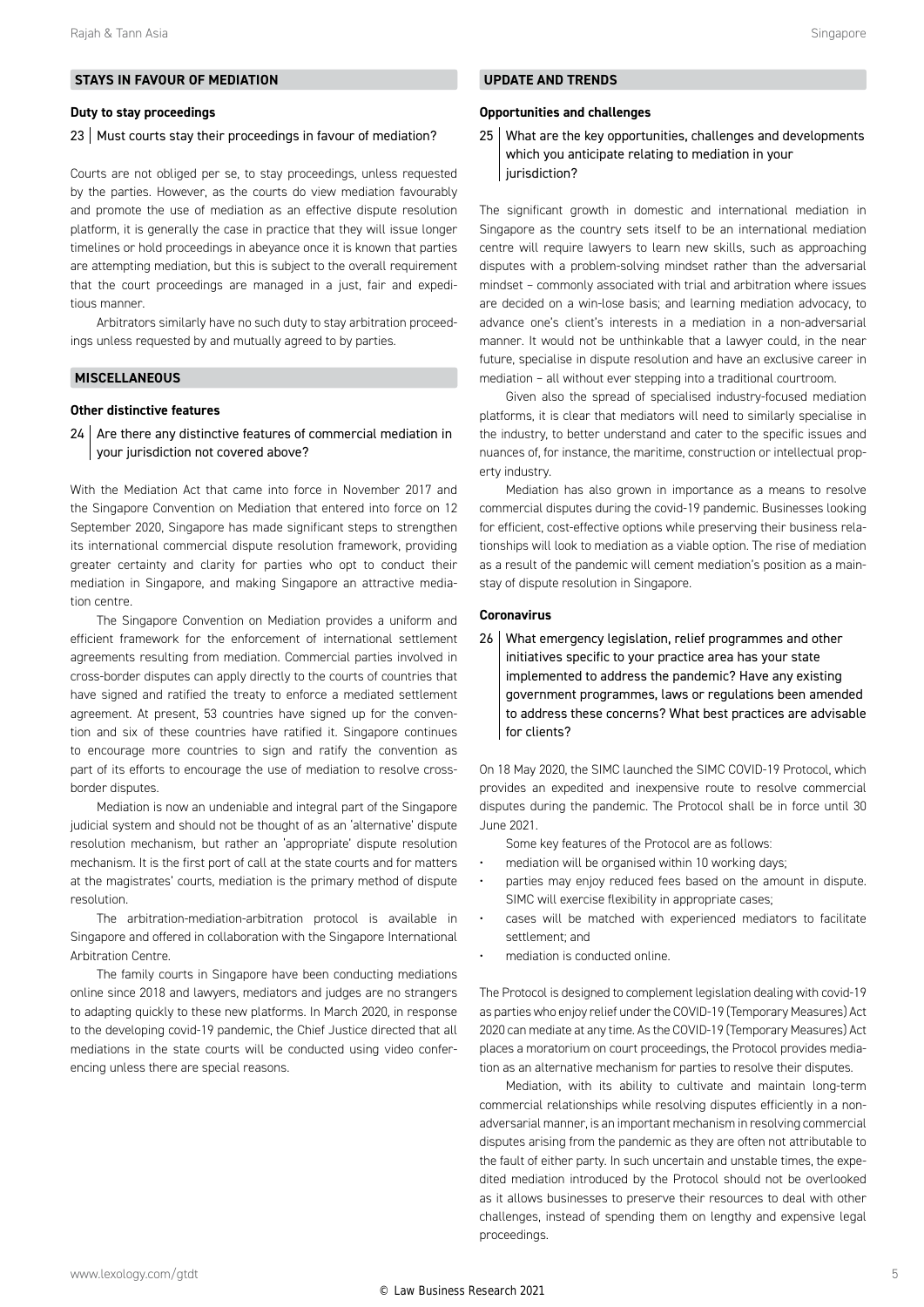#### **STAYS IN FAVOUR OF MEDIATION**

#### **Duty to stay proceedings**

#### 23 Must courts stay their proceedings in favour of mediation?

Courts are not obliged per se, to stay proceedings, unless requested by the parties. However, as the courts do view mediation favourably and promote the use of mediation as an effective dispute resolution platform, it is generally the case in practice that they will issue longer timelines or hold proceedings in abeyance once it is known that parties are attempting mediation, but this is subject to the overall requirement that the court proceedings are managed in a just, fair and expeditious manner.

Arbitrators similarly have no such duty to stay arbitration proceedings unless requested by and mutually agreed to by parties.

#### **MISCELLANEOUS**

#### **Other distinctive features**

 $24$  Are there any distinctive features of commercial mediation in your jurisdiction not covered above?

With the Mediation Act that came into force in November 2017 and the Singapore Convention on Mediation that entered into force on 12 September 2020, Singapore has made significant steps to strengthen its international commercial dispute resolution framework, providing greater certainty and clarity for parties who opt to conduct their mediation in Singapore, and making Singapore an attractive mediation centre.

The Singapore Convention on Mediation provides a uniform and efficient framework for the enforcement of international settlement agreements resulting from mediation. Commercial parties involved in cross-border disputes can apply directly to the courts of countries that have signed and ratified the treaty to enforce a mediated settlement agreement. At present, 53 countries have signed up for the convention and six of these countries have ratified it. Singapore continues to encourage more countries to sign and ratify the convention as part of its efforts to encourage the use of mediation to resolve crossborder disputes.

Mediation is now an undeniable and integral part of the Singapore judicial system and should not be thought of as an 'alternative' dispute resolution mechanism, but rather an 'appropriate' dispute resolution mechanism. It is the first port of call at the state courts and for matters at the magistrates' courts, mediation is the primary method of dispute resolution.

The arbitration-mediation-arbitration protocol is available in Singapore and offered in collaboration with the Singapore International Arbitration Centre.

The family courts in Singapore have been conducting mediations online since 2018 and lawyers, mediators and judges are no strangers to adapting quickly to these new platforms. In March 2020, in response to the developing covid-19 pandemic, the Chief Justice directed that all mediations in the state courts will be conducted using video conferencing unless there are special reasons.

#### **UPDATE AND TRENDS**

#### **Opportunities and challenges**

25 What are the key opportunities, challenges and developments which you anticipate relating to mediation in your jurisdiction?

The significant growth in domestic and international mediation in Singapore as the country sets itself to be an international mediation centre will require lawyers to learn new skills, such as approaching disputes with a problem-solving mindset rather than the adversarial mindset – commonly associated with trial and arbitration where issues are decided on a win-lose basis; and learning mediation advocacy, to advance one's client's interests in a mediation in a non-adversarial manner. It would not be unthinkable that a lawyer could, in the near future, specialise in dispute resolution and have an exclusive career in mediation – all without ever stepping into a traditional courtroom.

Given also the spread of specialised industry-focused mediation platforms, it is clear that mediators will need to similarly specialise in the industry, to better understand and cater to the specific issues and nuances of, for instance, the maritime, construction or intellectual property industry.

Mediation has also grown in importance as a means to resolve commercial disputes during the covid-19 pandemic. Businesses looking for efficient, cost-effective options while preserving their business relationships will look to mediation as a viable option. The rise of mediation as a result of the pandemic will cement mediation's position as a mainstay of dispute resolution in Singapore.

#### **Coronavirus**

26 What emergency legislation, relief programmes and other initiatives specific to your practice area has your state implemented to address the pandemic? Have any existing government programmes, laws or regulations been amended to address these concerns? What best practices are advisable for clients?

On 18 May 2020, the SIMC launched the SIMC COVID-19 Protocol, which provides an expedited and inexpensive route to resolve commercial disputes during the pandemic. The Protocol shall be in force until 30 June 2021.

Some key features of the Protocol are as follows:

- mediation will be organised within 10 working days;
- parties may enjoy reduced fees based on the amount in dispute. SIMC will exercise flexibility in appropriate cases;
- cases will be matched with experienced mediators to facilitate settlement; and
- mediation is conducted online.

The Protocol is designed to complement legislation dealing with covid-19 as parties who enjoy relief under the COVID-19 (Temporary Measures) Act 2020 can mediate at any time. As the COVID-19 (Temporary Measures) Act places a moratorium on court proceedings, the Protocol provides mediation as an alternative mechanism for parties to resolve their disputes.

Mediation, with its ability to cultivate and maintain long-term commercial relationships while resolving disputes efficiently in a nonadversarial manner, is an important mechanism in resolving commercial disputes arising from the pandemic as they are often not attributable to the fault of either party. In such uncertain and unstable times, the expedited mediation introduced by the Protocol should not be overlooked as it allows businesses to preserve their resources to deal with other challenges, instead of spending them on lengthy and expensive legal proceedings.